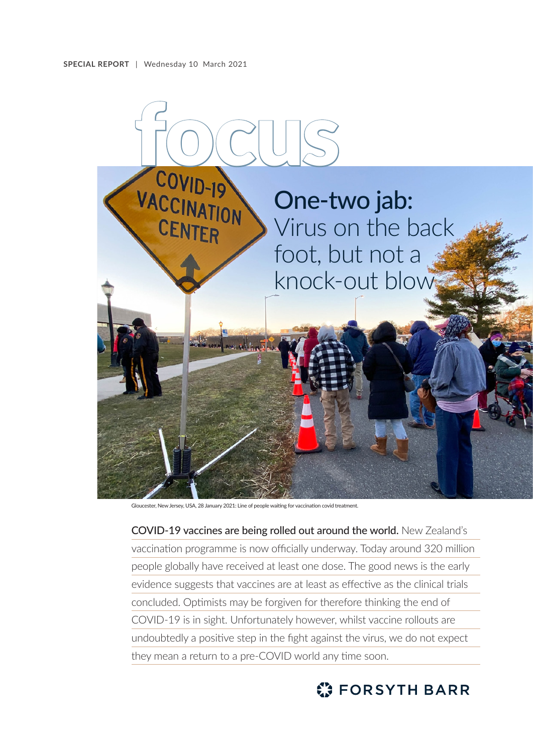

Gloucester, New Jersey, USA, 28 January 2021: Line of people waiting for vaccination covid treatment.

COVID-19 vaccines are being rolled out around the world. New Zealand's vaccination programme is now officially underway. Today around 320 million people globally have received at least one dose. The good news is the early evidence suggests that vaccines are at least as effective as the clinical trials concluded. Optimists may be forgiven for therefore thinking the end of COVID-19 is in sight. Unfortunately however, whilst vaccine rollouts are undoubtedly a positive step in the fight against the virus, we do not expect they mean a return to a pre-COVID world any time soon.

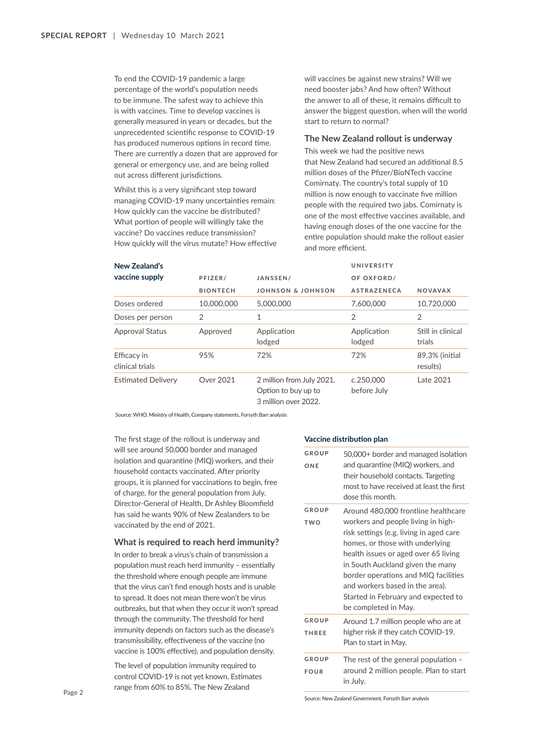To end the COVID-19 pandemic a large percentage of the world's population needs to be immune. The safest way to achieve this is with vaccines. Time to develop vaccines is generally measured in years or decades, but the unprecedented scientific response to COVID-19 has produced numerous options in record time. There are currently a dozen that are approved for general or emergency use, and are being rolled out across different jurisdictions.

Whilst this is a very significant step toward managing COVID-19 many uncertainties remain: How quickly can the vaccine be distributed? What portion of people will willingly take the vaccine? Do vaccines reduce transmission? How quickly will the virus mutate? How effective will vaccines be against new strains? Will we need booster jabs? And how often? Without the answer to all of these, it remains difficult to answer the biggest question, when will the world start to return to normal?

#### **The New Zealand rollout is underway**

This week we had the positive news that New Zealand had secured an additional 8.5 million doses of the Pfizer/BioNTech vaccine Comirnaty. The country's total supply of 10 million is now enough to vaccinate five million people with the required two jabs. Comirnaty is one of the most effective vaccines available, and having enough doses of the one vaccine for the entire population should make the rollout easier and more efficient.

| New Zealand's                  | PFIZER/         | JANSSEN/                                                                 | UNIVERSITY               |                             |
|--------------------------------|-----------------|--------------------------------------------------------------------------|--------------------------|-----------------------------|
| vaccine supply                 |                 |                                                                          | OF OXFORD/               |                             |
|                                | <b>BIONTECH</b> | JOHNSON & JOHNSON                                                        | <b>ASTRAZENECA</b>       | <b>NOVAVAX</b>              |
| Doses ordered                  | 10,000,000      | 5,000,000                                                                | 7.600.000                | 10.720.000                  |
| Doses per person               | 2               | 1                                                                        | $\overline{2}$           | $\overline{2}$              |
| <b>Approval Status</b>         | Approved        | Application<br>lodged                                                    | Application<br>lodged    | Still in clinical<br>trials |
| Efficacy in<br>clinical trials | 95%             | 72%                                                                      | 72%                      | 89.3% (initial<br>results)  |
| <b>Estimated Delivery</b>      | Over 2021       | 2 million from July 2021.<br>Option to buy up to<br>3 million over 2022. | c.250,000<br>before July | Late 2021                   |

Source: WHO, Ministry of Health, Company statements, Forsyth Barr analysis

The first stage of the rollout is underway and will see around 50,000 border and managed isolation and quarantine (MIQ) workers, and their household contacts vaccinated. After priority groups, it is planned for vaccinations to begin, free of charge, for the general population from July. Director-General of Health, Dr Ashley Bloomfield has said he wants 90% of New Zealanders to be vaccinated by the end of 2021.

## **What is required to reach herd immunity?**

In order to break a virus's chain of transmission a population must reach herd immunity – essentially the threshold where enough people are immune that the virus can't find enough hosts and is unable to spread. It does not mean there won't be virus outbreaks, but that when they occur it won't spread through the community. The threshold for herd immunity depends on factors such as the disease's transmissibility, effectiveness of the vaccine (no vaccine is 100% effective), and population density.

The level of population immunity required to control COVID-19 is not yet known. Estimates range from 60% to 85%. The New Zealand

## **Vaccine distribution plan**

| GROUP<br>ONE          | 50,000+ border and managed isolation<br>and quarantine (MIQ) workers, and<br>their household contacts. Targeting<br>most to have received at least the first<br>dose this month.                                                                                                                                                                                              |  |
|-----------------------|-------------------------------------------------------------------------------------------------------------------------------------------------------------------------------------------------------------------------------------------------------------------------------------------------------------------------------------------------------------------------------|--|
| GROUP<br><b>TWO</b>   | Around 480,000 frontline healthcare<br>workers and people living in high-<br>risk settings (e.g. living in aged care<br>homes, or those with underlying<br>health issues or aged over 65 living<br>in South Auckland given the many<br>border operations and MIQ facilities<br>and workers based in the area).<br>Started in February and expected to<br>be completed in May. |  |
| GROUP<br><b>THREE</b> | Around 1.7 million people who are at<br>higher risk if they catch COVID-19.<br>Plan to start in May.                                                                                                                                                                                                                                                                          |  |
| <b>GROUP</b><br>FOUR  | The rest of the general population $-$<br>around 2 million people. Plan to start<br>in July.                                                                                                                                                                                                                                                                                  |  |

Source: New Zealand Government, Forsyth Barr analysis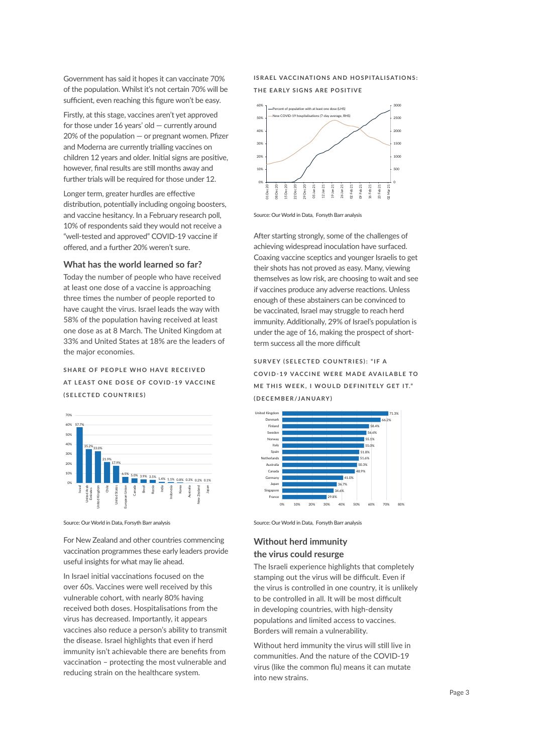Government has said it hopes it can vaccinate 70% of the population. Whilst it's not certain 70% will be sufficient, even reaching this figure won't be easy.

Firstly, at this stage, vaccines aren't yet approved for those under 16 years' old — currently around 20% of the population — or pregnant women. Pfizer and Moderna are currently trialling vaccines on children 12 years and older. Initial signs are positive, however, final results are still months away and further trials will be required for those under 12.

Longer term, greater hurdles are effective distribution, potentially including ongoing boosters, and vaccine hesitancy. In a February research poll, 10% of respondents said they would not receive a "well-tested and approved" COVID-19 vaccine if offered, and a further 20% weren't sure.

## **What has the world learned so far?**

Today the number of people who have received at least one dose of a vaccine is approaching three times the number of people reported to have caught the virus. Israel leads the way with 58% of the population having received at least one dose as at 8 March. The United Kingdom at 33% and United States at 18% are the leaders of the major economies.

SHARE OF PEOPLE WHO HAVE RECEIVED **AT LEAST ONE DOSE OF COVID-19 VACCINE (SELECTED COUNTRIES)**



Source: Our World in Data, Forsyth Barr analysis

For New Zealand and other countries commencing vaccination programmes these early leaders provide useful insights for what may lie ahead.

In Israel initial vaccinations focused on the over 60s. Vaccines were well received by this vulnerable cohort, with nearly 80% having received both doses. Hospitalisations from the virus has decreased. Importantly, it appears vaccines also reduce a person's ability to transmit the disease. Israel highlights that even if herd immunity isn't achievable there are benefits from vaccination – protecting the most vulnerable and reducing strain on the healthcare system.

## **ISRAEL VACCINATIONS AND HOSPITALISATIONS: THE EARLY SIGNS ARE POSITIVE**



Source: Our World in Data, Forsyth Barr analysis

After starting strongly, some of the challenges of achieving widespread inoculation have surfaced. Coaxing vaccine sceptics and younger Israelis to get their shots has not proved as easy. Many, viewing themselves as low risk, are choosing to wait and see if vaccines produce any adverse reactions. Unless enough of these abstainers can be convinced to be vaccinated, Israel may struggle to reach herd immunity. Additionally, 29% of Israel's population is under the age of 16, making the prospect of shortterm success all the more difficult

# **SURVEY (SELECTED COUNTRIES): "IF A COVID-19 VACCINE WERE MADE AVAILABLE TO ME THIS WEEK, I WOULD DEFINITELY GET IT." (DECEMBER/JANUARY)**



Source: Our World in Data, Forsyth Barr analysis

# **Without herd immunity the virus could resurge**

The Israeli experience highlights that completely stamping out the virus will be difficult. Even if the virus is controlled in one country, it is unlikely to be controlled in all. It will be most difficult in developing countries, with high-density populations and limited access to vaccines. Borders will remain a vulnerability.

Without herd immunity the virus will still live in communities. And the nature of the COVID-19 virus (like the common flu) means it can mutate into new strains.